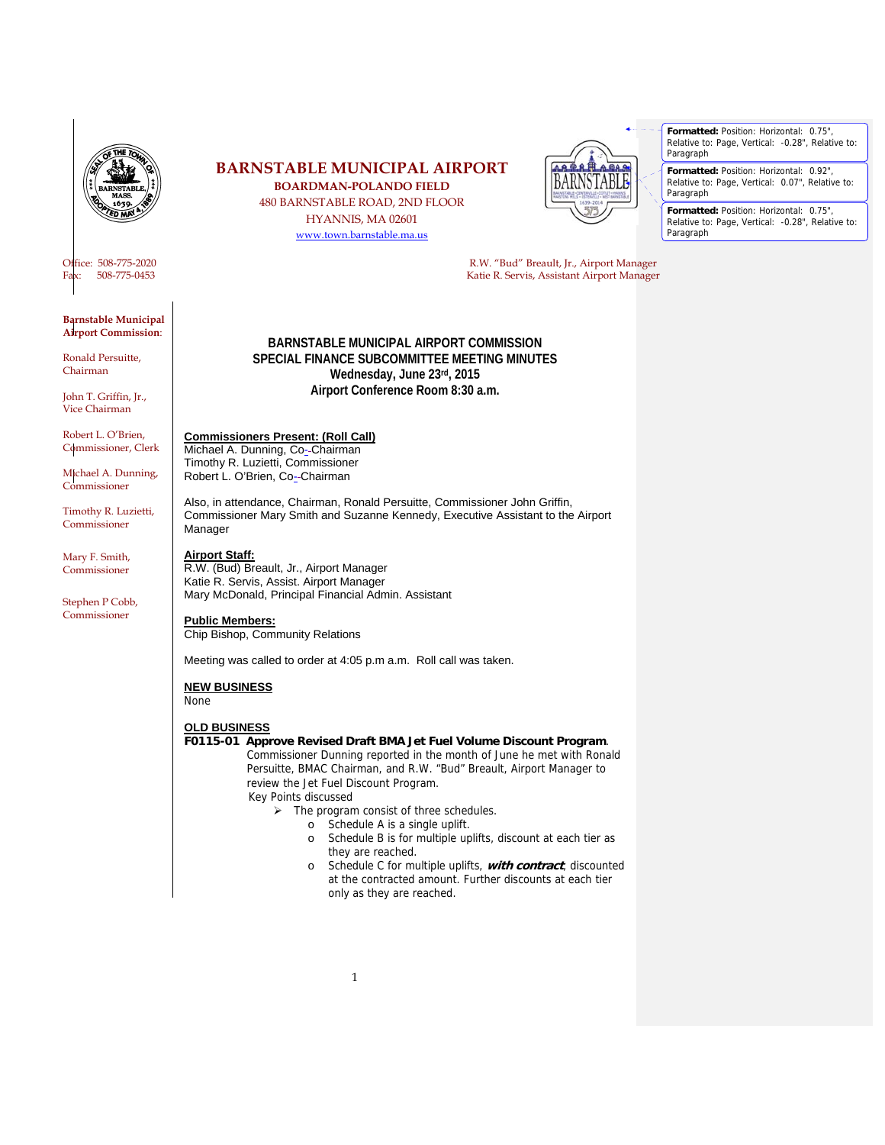

**Barnstable Municipal Airport Commission**:

Ronald Persuitte, Chairman

John T. Griffin, Jr., Vice Chairman

Robert L. O'Brien, Commissioner, Clerk

Michael A. Dunning, Commissioner

Timothy R. Luzietti, Commissioner

Mary F. Smith, Commissioner

Stephen P Cobb, Commissioner

# **BARNSTABLE MUNICIPAL AIRPORT**

**BOARDMAN-POLANDO FIELD**  480 BARNSTABLE ROAD, 2ND FLOOR HYANNIS, MA 02601 www.town.barnstable.ma.us



Office: 508-775-2020 R.W. "Bud" Breault, Jr., Airport Manager Fax: 508-775-0453 Katie R. Servis, Assistant Airport Manager

> **BARNSTABLE MUNICIPAL AIRPORT COMMISSION SPECIAL FINANCE SUBCOMMITTEE MEETING MINUTES Wednesday, June 23rd, 2015 Airport Conference Room 8:30 a.m.**

# **Commissioners Present: (Roll Call)**

Michael A. Dunning, Co--Chairman Timothy R. Luzietti, Commissioner Robert L. O'Brien, Co-Chairman

Also, in attendance, Chairman, Ronald Persuitte, Commissioner John Griffin, Commissioner Mary Smith and Suzanne Kennedy, Executive Assistant to the Airport Manager

# **Airport Staff:**

R.W. (Bud) Breault, Jr., Airport Manager Katie R. Servis, Assist. Airport Manager Mary McDonald, Principal Financial Admin. Assistant

# **Public Members:**

Chip Bishop, Community Relations

Meeting was called to order at 4:05 p.m a.m. Roll call was taken.

#### **NEW BUSINESS**

None

#### **OLD BUSINESS**

### **F0115-01 Approve Revised Draft BMA Jet Fuel Volume Discount Program**.

 Commissioner Dunning reported in the month of June he met with Ronald Persuitte, BMAC Chairman, and R.W. "Bud" Breault, Airport Manager to review the Jet Fuel Discount Program.

- Key Points discussed
	- $\triangleright$  The program consist of three schedules. o Schedule A is a single uplift.
		-
		- o Schedule B is for multiple uplifts, discount at each tier as they are reached.
		- o Schedule C for multiple uplifts, **with contract**, discounted at the contracted amount. Further discounts at each tier only as they are reached.

**Formatted:** Position: Horizontal: 0.75", Relative to: Page, Vertical: -0.28", Relative to: Paragraph

**Formatted:** Position: Horizontal: 0.92", Relative to: Page, Vertical: 0.07", Relative to: Paragraph

**Formatted:** Position: Horizontal: 0.75", Relative to: Page, Vertical: -0.28", Relative to: Paragraph